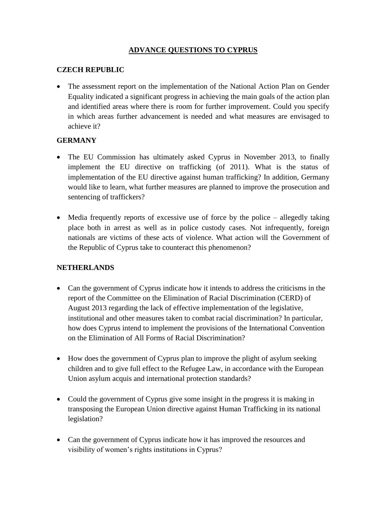# **ADVANCE QUESTIONS TO CYPRUS**

### **CZECH REPUBLIC**

• The assessment report on the implementation of the National Action Plan on Gender Equality indicated a significant progress in achieving the main goals of the action plan and identified areas where there is room for further improvement. Could you specify in which areas further advancement is needed and what measures are envisaged to achieve it?

# **GERMANY**

- The EU Commission has ultimately asked Cyprus in November 2013, to finally implement the EU directive on trafficking (of 2011). What is the status of implementation of the EU directive against human trafficking? In addition, Germany would like to learn, what further measures are planned to improve the prosecution and sentencing of traffickers?
- Media frequently reports of excessive use of force by the police allegedly taking place both in arrest as well as in police custody cases. Not infrequently, foreign nationals are victims of these acts of violence. What action will the Government of the Republic of Cyprus take to counteract this phenomenon?

#### **NETHERLANDS**

- Can the government of Cyprus indicate how it intends to address the criticisms in the report of the Committee on the Elimination of Racial Discrimination (CERD) of August 2013 regarding the lack of effective implementation of the legislative, institutional and other measures taken to combat racial discrimination? In particular, how does Cyprus intend to implement the provisions of the International Convention on the Elimination of All Forms of Racial Discrimination?
- How does the government of Cyprus plan to improve the plight of asylum seeking children and to give full effect to the Refugee Law, in accordance with the European Union asylum acquis and international protection standards?
- Could the government of Cyprus give some insight in the progress it is making in transposing the European Union directive against Human Trafficking in its national legislation?
- Can the government of Cyprus indicate how it has improved the resources and visibility of women's rights institutions in Cyprus?